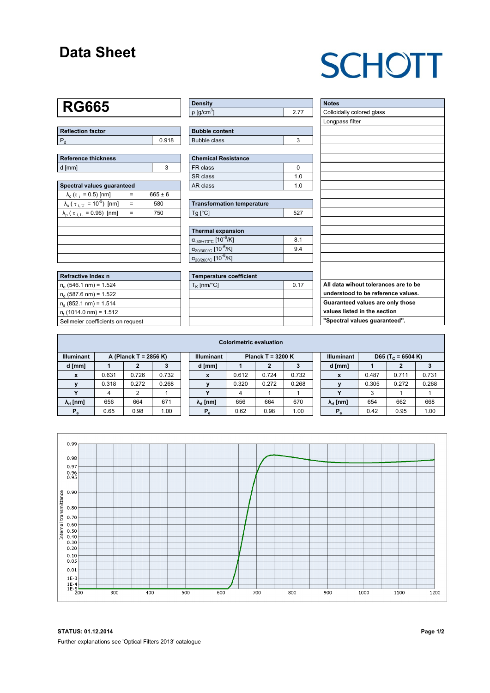## **Data Sheet**

# **SCHOTT**

## **RG665**

| Reflection factor |       |  |  |  |  |  |
|-------------------|-------|--|--|--|--|--|
|                   | 0.918 |  |  |  |  |  |

| Reference thickness |  |  |  |  |  |  |  |
|---------------------|--|--|--|--|--|--|--|
| d [mm]              |  |  |  |  |  |  |  |

| Spectral values quaranteed                                      |   |             |  |  |  |  |  |  |  |
|-----------------------------------------------------------------|---|-------------|--|--|--|--|--|--|--|
| $\lambda_c$ ( $\tau_i$ = 0.5) [nm]                              |   | $665 \pm 6$ |  |  |  |  |  |  |  |
| $\lambda_{\rm s}$ ( $\tau_{\rm i, U}$ = 10 <sup>-5</sup> ) [nm] |   | 580         |  |  |  |  |  |  |  |
| $\lambda_{\rm p}$ ( $\tau_{\rm i, L}$ = 0.96) [nm]              | - | 750         |  |  |  |  |  |  |  |
|                                                                 |   |             |  |  |  |  |  |  |  |
|                                                                 |   |             |  |  |  |  |  |  |  |
|                                                                 |   |             |  |  |  |  |  |  |  |
|                                                                 |   |             |  |  |  |  |  |  |  |
|                                                                 |   |             |  |  |  |  |  |  |  |

| Refractive Index n                |
|-----------------------------------|
| $n_e$ (546.1 nm) = 1.524          |
| $n_{d}$ (587.6 nm) = 1.522        |
| $n_s$ (852.1 nm) = 1.514          |
| $n_{\rm t}$ (1014.0 nm) = 1.512   |
| Sellmeier coefficients on request |

| Density                     |  |
|-----------------------------|--|
| $\rho$ [g/cm <sup>3</sup> ] |  |

| <b>Bubble content</b> |  |
|-----------------------|--|
| Bubble class          |  |

| <b>Chemical Resistance</b> |     |  |  |  |  |  |
|----------------------------|-----|--|--|--|--|--|
| FR class                   |     |  |  |  |  |  |
| l SR class                 | 1 N |  |  |  |  |  |
| l AR class                 | 1 በ |  |  |  |  |  |

| <b>Transformation temperature</b> |     |  |  |  |  |  |
|-----------------------------------|-----|--|--|--|--|--|
| $Ta$ $C1$                         | 527 |  |  |  |  |  |

| Thermal expansion                                 |     |
|---------------------------------------------------|-----|
| $\alpha_{.30/+70\degree}$ C [10 <sup>-6</sup> /K] | 8.1 |
| $\alpha_{20/300^{\circ}C}$ [10 <sup>-6</sup> /K]  | 94  |
| $\alpha_{20/200^{\circ}C}$ [10 <sup>-6</sup> /K]  |     |

| <b>Temperature coefficient</b> |      |  |  |  |  |  |  |
|--------------------------------|------|--|--|--|--|--|--|
| $T_K$ [nm/°C]                  | 0.17 |  |  |  |  |  |  |
|                                |      |  |  |  |  |  |  |
|                                |      |  |  |  |  |  |  |
|                                |      |  |  |  |  |  |  |
|                                |      |  |  |  |  |  |  |

| <b>Notes</b>                         |
|--------------------------------------|
| Colloidally colored glass            |
| Longpass filter                      |
|                                      |
|                                      |
|                                      |
|                                      |
|                                      |
|                                      |
|                                      |
|                                      |
|                                      |
|                                      |
|                                      |
|                                      |
|                                      |
|                                      |
|                                      |
|                                      |
|                                      |
| All data wihout tolerances are to be |
| understood to be reference values.   |
| Guaranteed values are only those     |
| values listed in the section         |
| "Spectral values guaranteed".        |

| <b>Colorimetric evaluation</b>             |       |       |       |                                          |                        |       |       |       |                   |                               |       |       |       |
|--------------------------------------------|-------|-------|-------|------------------------------------------|------------------------|-------|-------|-------|-------------------|-------------------------------|-------|-------|-------|
| <b>Illuminant</b><br>A (Planck T = 2856 K) |       |       |       | Planck T = $3200 K$<br><b>Illuminant</b> |                        |       |       |       | <b>Illuminant</b> | D65 (T <sub>c</sub> = 6504 K) |       |       |       |
| d [mm]                                     |       |       |       |                                          | d [mm]                 |       |       |       |                   | d [mm]                        |       |       |       |
| $\mathbf{x}$                               | 0.631 | 0.726 | 0.732 |                                          | x                      | 0.612 | 0.724 | 0.732 |                   | X                             | 0.487 | 0.711 | 0.731 |
|                                            | 0.318 | 0.272 | 0.268 |                                          |                        | 0.320 | 0.272 | 0.268 |                   |                               | 0.305 | 0.272 | 0.268 |
|                                            | 4     | 2     |       |                                          |                        | 4     |       |       |                   |                               | 3     |       |       |
| $\lambda_{\rm d}$ [nm]                     | 656   | 664   | 671   |                                          | $\lambda_{\rm d}$ [nm] | 656   | 664   | 670   |                   | $\lambda_{\rm d}$ [nm]        | 654   | 662   | 668   |
| $P_e$                                      | 0.65  | 0.98  | 1.00  |                                          | $P_{\alpha}$           | 0.62  | 0.98  | 1.00  |                   | P.                            | 0.42  | 0.95  | 1.00  |



**STATUS: 01.12.2014 Page 1/2** Further explanations see 'Optical Filters 2013' catalogue